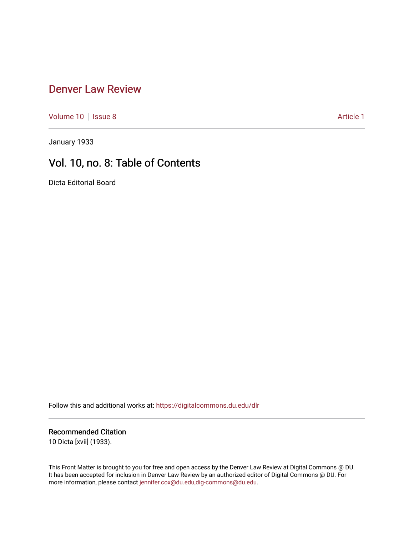## [Denver Law Review](https://digitalcommons.du.edu/dlr)

[Volume 10](https://digitalcommons.du.edu/dlr/vol10) | [Issue 8](https://digitalcommons.du.edu/dlr/vol10/iss8) Article 1

January 1933

# Vol. 10, no. 8: Table of Contents

Dicta Editorial Board

Follow this and additional works at: [https://digitalcommons.du.edu/dlr](https://digitalcommons.du.edu/dlr?utm_source=digitalcommons.du.edu%2Fdlr%2Fvol10%2Fiss8%2F1&utm_medium=PDF&utm_campaign=PDFCoverPages) 

#### Recommended Citation

10 Dicta [xvii] (1933).

This Front Matter is brought to you for free and open access by the Denver Law Review at Digital Commons @ DU. It has been accepted for inclusion in Denver Law Review by an authorized editor of Digital Commons @ DU. For more information, please contact [jennifer.cox@du.edu,dig-commons@du.edu.](mailto:jennifer.cox@du.edu,dig-commons@du.edu)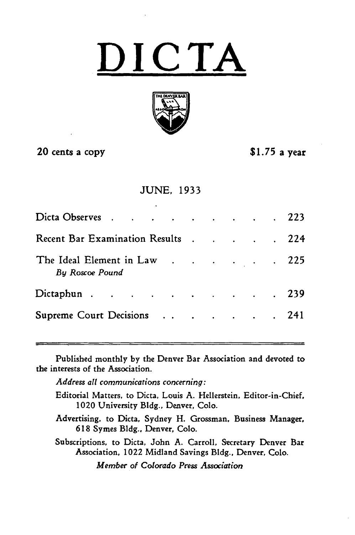**DICTA**



### 20 cents a copy **\$1.75** a year

#### JUNE, 1933

| Dicta Observes 223                                     |  |  |  |
|--------------------------------------------------------|--|--|--|
| Recent Bar Examination Results 224                     |  |  |  |
| The Ideal Element in Law 225<br><b>By Roscoe Pound</b> |  |  |  |
| Dictaphun 239                                          |  |  |  |
| Supreme Court Decisions 241                            |  |  |  |

Published monthly **by** the Denver Bar Association and devoted to the interests of the Association.

*Address all communications concerning:*

Editorial Matters, to Dicta, Louis A. Hellerstein, Editor-in-Chief, 1020 University **Bldg.,** Denver, Colo.

Advertising, to Dicta, Sydney H. Grossman, Business Manager, 618 Symes **Bldg.,** Denver, Colo.

Subscriptions, to Dicta, John **A.** Carroll, Secretary Denver Bar Association, 1022 Midland Savings Bldg., Denver, **Colo.**

*Member of Colorado Press Association*